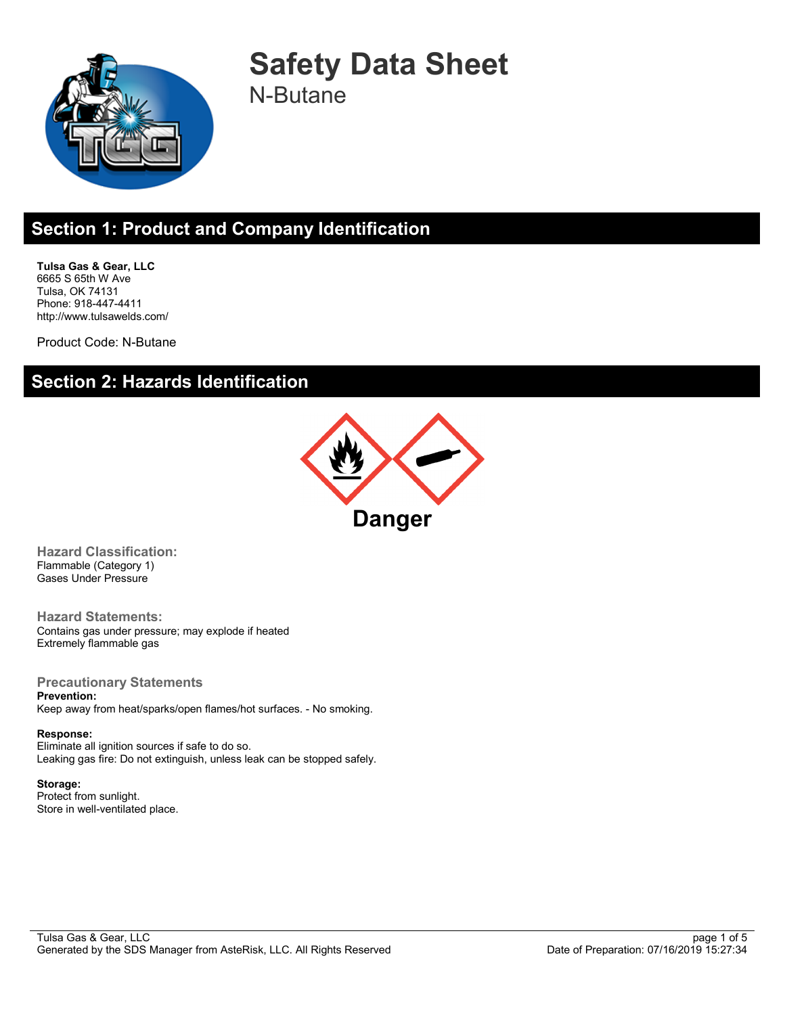

**Safety Data Sheet** N-Butane

### **Section 1: Product and Company Identification**

**Tulsa Gas & Gear, LLC** 6665 S 65th W Ave Tulsa, OK 74131 Phone: 918-447-4411 http://www.tulsawelds.com/

Product Code: N-Butane

## **Section 2: Hazards Identification**



**Hazard Classification:** Flammable (Category 1) Gases Under Pressure

**Hazard Statements:** Contains gas under pressure; may explode if heated Extremely flammable gas

**Precautionary Statements Prevention:**

Keep away from heat/sparks/open flames/hot surfaces. - No smoking.

**Response:** Eliminate all ignition sources if safe to do so. Leaking gas fire: Do not extinguish, unless leak can be stopped safely.

**Storage:** Protect from sunlight. Store in well-ventilated place.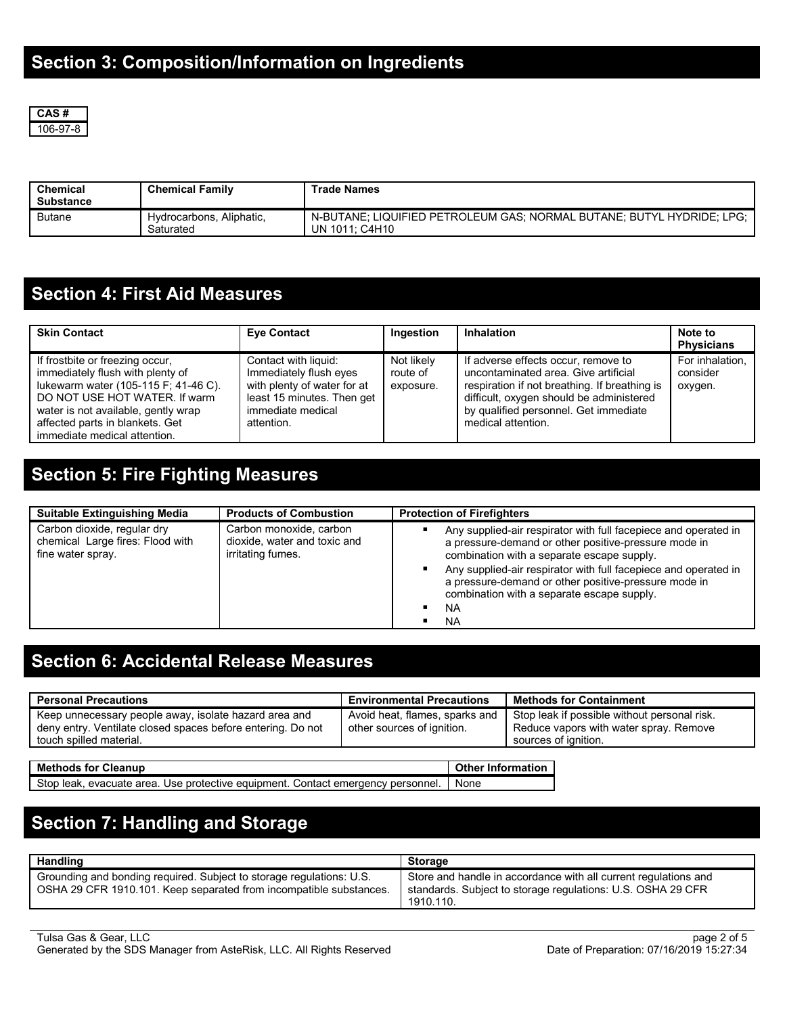

| <b>Chemical</b><br><b>Substance</b> | <b>Chemical Family</b>                | <b>Trade Names</b>                                                                      |
|-------------------------------------|---------------------------------------|-----------------------------------------------------------------------------------------|
| <b>Butane</b>                       | Hydrocarbons, Aliphatic,<br>Saturated | N-BUTANE; LIQUIFIED PETROLEUM GAS; NORMAL BUTANE; BUTYL HYDRIDE; LPG;<br>UN 1011: C4H10 |

### **Section 4: First Aid Measures**

| <b>Skin Contact</b>                                                                                                                                                                                                                                    | <b>Eve Contact</b>                                                                                                                             | Ingestion                           | Inhalation                                                                                                                                                                                                                              | Note to<br><b>Physicians</b>           |
|--------------------------------------------------------------------------------------------------------------------------------------------------------------------------------------------------------------------------------------------------------|------------------------------------------------------------------------------------------------------------------------------------------------|-------------------------------------|-----------------------------------------------------------------------------------------------------------------------------------------------------------------------------------------------------------------------------------------|----------------------------------------|
| If frostbite or freezing occur,<br>immediately flush with plenty of<br>lukewarm water (105-115 F; 41-46 C).<br>DO NOT USE HOT WATER. If warm<br>water is not available, gently wrap<br>affected parts in blankets. Get<br>immediate medical attention. | Contact with liquid:<br>Immediately flush eyes<br>with plenty of water for at<br>least 15 minutes. Then get<br>immediate medical<br>attention. | Not likely<br>route of<br>exposure. | If adverse effects occur, remove to<br>uncontaminated area. Give artificial<br>respiration if not breathing. If breathing is<br>difficult, oxygen should be administered<br>by qualified personnel. Get immediate<br>medical attention. | For inhalation.<br>consider<br>oxygen. |

## **Section 5: Fire Fighting Measures**

| <b>Suitable Extinguishing Media</b>                                                  | <b>Products of Combustion</b>                                                | <b>Protection of Firefighters</b>                                                                                                                                                                                                                                                                                                                                 |
|--------------------------------------------------------------------------------------|------------------------------------------------------------------------------|-------------------------------------------------------------------------------------------------------------------------------------------------------------------------------------------------------------------------------------------------------------------------------------------------------------------------------------------------------------------|
| Carbon dioxide, regular dry<br>chemical Large fires: Flood with<br>fine water spray. | Carbon monoxide, carbon<br>dioxide, water and toxic and<br>irritating fumes. | Any supplied-air respirator with full facepiece and operated in<br>a pressure-demand or other positive-pressure mode in<br>combination with a separate escape supply.<br>Any supplied-air respirator with full facepiece and operated in<br>a pressure-demand or other positive-pressure mode in<br>combination with a separate escape supply.<br>NA<br><b>NA</b> |

## **Section 6: Accidental Release Measures**

| <b>Personal Precautions</b>                                                                                                                     | <b>Environmental Precautions</b>                             | <b>Methods for Containment</b>                                                                                 |
|-------------------------------------------------------------------------------------------------------------------------------------------------|--------------------------------------------------------------|----------------------------------------------------------------------------------------------------------------|
| Keep unnecessary people away, isolate hazard area and<br>deny entry. Ventilate closed spaces before entering. Do not<br>touch spilled material. | Avoid heat, flames, sparks and<br>other sources of ignition. | Stop leak if possible without personal risk.<br>Reduce vapors with water spray. Remove<br>sources of ignition. |

| <b>Methods for Cleanup</b>                                                              | <b>C</b> ther Information |
|-----------------------------------------------------------------------------------------|---------------------------|
| Stop leak, evacuate area. Use protective equipment. Contact emergency personnel.   None |                           |

# **Section 7: Handling and Storage**

| Handling                                                                                                                                   | Storage                                                                                                                                     |
|--------------------------------------------------------------------------------------------------------------------------------------------|---------------------------------------------------------------------------------------------------------------------------------------------|
| Grounding and bonding required. Subject to storage requiations: U.S.<br>OSHA 29 CFR 1910.101. Keep separated from incompatible substances. | Store and handle in accordance with all current regulations and<br>standards. Subject to storage regulations: U.S. OSHA 29 CFR<br>1910.110. |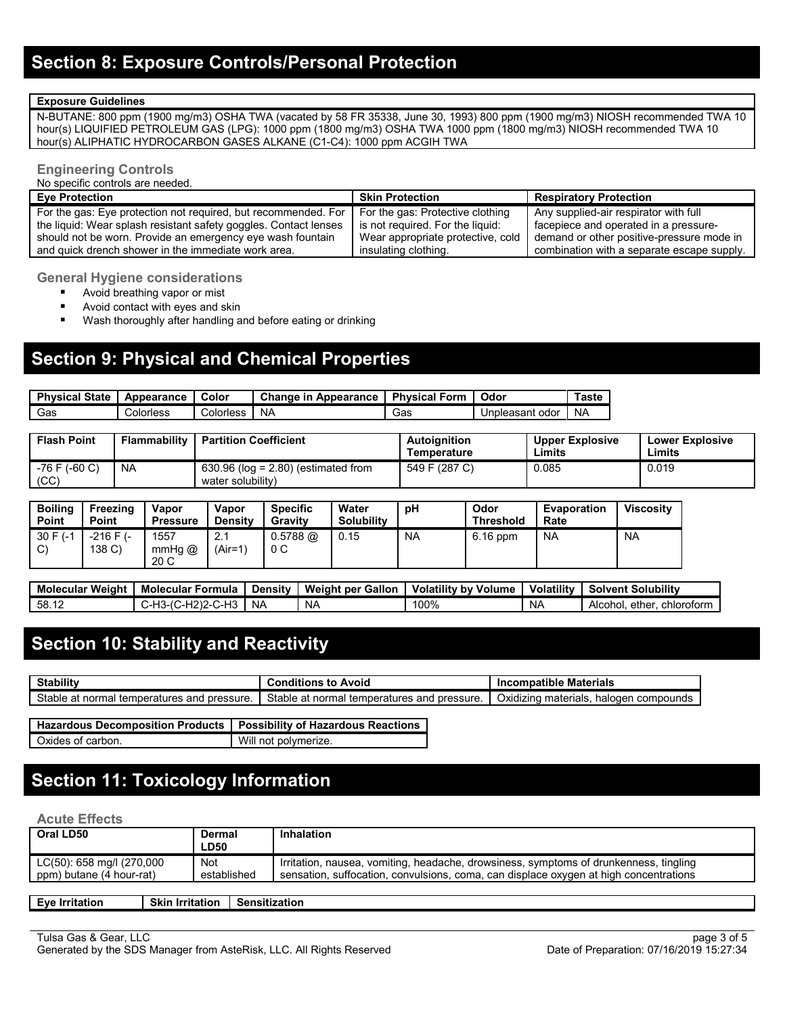#### **Exposure Guidelines**

N-BUTANE: 800 ppm (1900 mg/m3) OSHA TWA (vacated by 58 FR 35338, June 30, 1993) 800 ppm (1900 mg/m3) NIOSH recommended TWA 10 hour(s) LIQUIFIED PETROLEUM GAS (LPG): 1000 ppm (1800 mg/m3) OSHA TWA 1000 ppm (1800 mg/m3) NIOSH recommended TWA 10 hour(s) ALIPHATIC HYDROCARBON GASES ALKANE (C1-C4): 1000 ppm ACGIH TWA

#### **Engineering Controls**

No specific controls are needed.

| <b>Eve Protection</b>                                                                           | <b>Skin Protection</b>            | <b>Respiratory Protection</b>              |
|-------------------------------------------------------------------------------------------------|-----------------------------------|--------------------------------------------|
| For the gas: Eye protection not required, but recommended. For For the gas: Protective clothing |                                   | Any supplied-air respirator with full      |
| the liquid: Wear splash resistant safety goggles. Contact lenses                                | is not required. For the liquid:  | facepiece and operated in a pressure-      |
| should not be worn. Provide an emergency eye wash fountain                                      | Wear appropriate protective, cold | demand or other positive-pressure mode in  |
| and quick drench shower in the immediate work area.                                             | insulating clothing.              | combination with a separate escape supply. |

**General Hygiene considerations**

- **Avoid breathing vapor or mist**
- **Avoid contact with eyes and skin**
- **Wash thoroughly after handling and before eating or drinking**

### **Section 9: Physical and Chemical Properties**

| <b>Physical State</b> | Appearance | Color     | <b>Change in Appearance</b> | <b>Physical Form</b> | Odor            | Taste     |
|-----------------------|------------|-----------|-----------------------------|----------------------|-----------------|-----------|
| Gas                   | Colorless  | Colorless | NA                          | Gas                  | Unpleasant odor | <b>NA</b> |

| <b>Flash Point</b>      | <b>Flammability</b> | <b>Partition Coefficient</b>                               | <b>Autoianition</b><br>Temperature | <b>Upper Explosive</b><br>Limits | <b>Lower Explosive</b><br>∟imits |
|-------------------------|---------------------|------------------------------------------------------------|------------------------------------|----------------------------------|----------------------------------|
| $-76$ F (-60 C)<br>(CC) | <b>NA</b>           | $630.96$ (log = 2.80) (estimated from<br>water solubility) | 549 F (287 C)                      | 0.085                            | 0.019                            |

| <b>Boiling</b><br>Point     | Freezing<br>Point       | Vapor<br><b>Pressure</b> | Vapor<br><b>Density</b> | <b>Specific</b><br>Gravity   | Water<br><b>Solubility</b> | рH        | Odor<br><b>Threshold</b> | Evaporation<br>Rate | <b>Viscositv</b> |
|-----------------------------|-------------------------|--------------------------|-------------------------|------------------------------|----------------------------|-----------|--------------------------|---------------------|------------------|
| $30 F (-1)$<br>$\sim$<br>U. | $-216$ F $(-$<br>138 C) | 1557<br>mmHg $@$<br>20 C | 2.1<br>$(Air=1)$        | $0.5788$ @<br>0 <sup>C</sup> | 0.15                       | <b>NA</b> | $6.16$ ppm               | <b>NA</b>           | <b>NA</b>        |

| Weiaht<br><b>Molecular</b> | Molecular<br><sup>.</sup> Formula       | Density        | <b>Weight per Gallon</b> | <b>Volatility by Volume</b> | <b>Volatility</b> | <b>Solvent Solubility</b>        |
|----------------------------|-----------------------------------------|----------------|--------------------------|-----------------------------|-------------------|----------------------------------|
| 58.12                      | :)2-C-H3<br>,C-H2)^<br>∵ — ا—<br>٬۱۵-۲۰ | N <sub>A</sub> | NA                       | 100%                        | NΑ                | ether.<br>Alcohol.<br>chloroform |

### **Section 10: Stability and Reactivity**

| <b>Stability</b>                                  | <b>Conditions to Avoid</b>                                          | <b>Incompatible Materials</b>                               |
|---------------------------------------------------|---------------------------------------------------------------------|-------------------------------------------------------------|
| Stable<br>pressure.<br>at normal temperatures and | Stable at<br><sup>1</sup> pressure.<br>l temperatures and<br>normal | $\sim$ .<br>halogen<br>materials.<br>Oxidizina<br>compounds |

| Hazardous Decomposition Products   Possibility of Hazardous Reactions |                      |
|-----------------------------------------------------------------------|----------------------|
| Oxides of carbon.                                                     | Will not polymerize. |

## **Section 11: Toxicology Information**

#### **Acute Effects**

| Oral LD50                                             | Dermal<br>LD50            | <b>Inhalation</b>                                                                                                                                                              |
|-------------------------------------------------------|---------------------------|--------------------------------------------------------------------------------------------------------------------------------------------------------------------------------|
| LC(50): 658 mg/l (270,000<br>ppm) butane (4 hour-rat) | <b>Not</b><br>established | Irritation, nausea, vomiting, headache, drowsiness, symptoms of drunkenness, tingling<br>sensation, suffocation, convulsions, coma, can displace oxygen at high concentrations |
|                                                       |                           |                                                                                                                                                                                |

| E<br>™e<br><b>Irritation</b> | Skir<br><b>Irritation</b> | .<br>Sensitization |
|------------------------------|---------------------------|--------------------|
|                              |                           |                    |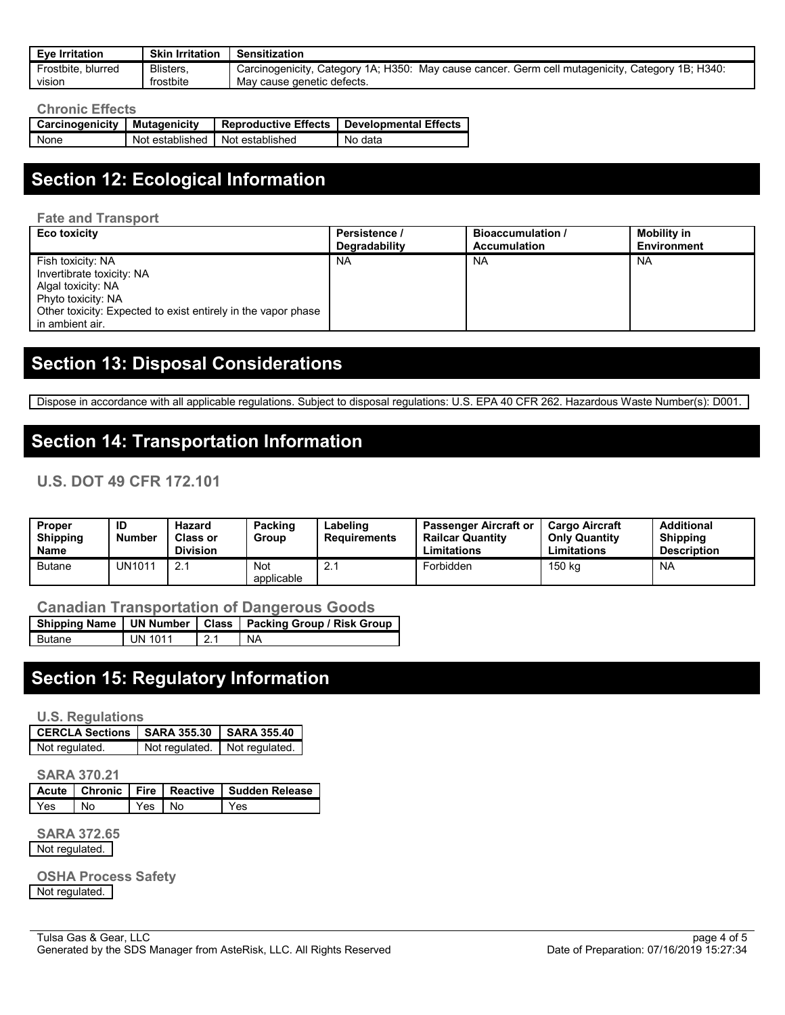| <b>Eve Irritation</b> | <b>Skin Irritation</b> | Sensitization                                                                                    |
|-----------------------|------------------------|--------------------------------------------------------------------------------------------------|
| Frostbite, blurred    | Blisters.              | Carcinogenicity, Category 1A, H350: May cause cancer. Germ cell mutagenicity, Category 1B, H340: |
| <b>VISION</b>         | frostbite              | May cause genetic defects.                                                                       |

#### **Chronic Effects**

| Carcinogenicity | <b>Mutagenicity</b>               | <b>Reproductive Effects</b> | Developmental Effects |
|-----------------|-----------------------------------|-----------------------------|-----------------------|
| None            | Not established I Not established |                             | No data               |

# **Section 12: Ecological Information**

**Fate and Transport**

| Eco toxicity                                                                                                                                                                   | Persistence / | <b>Bioaccumulation /</b> | <b>Mobility in</b> |
|--------------------------------------------------------------------------------------------------------------------------------------------------------------------------------|---------------|--------------------------|--------------------|
|                                                                                                                                                                                | Degradability | <b>Accumulation</b>      | <b>Environment</b> |
| Fish toxicity: NA<br>Invertibrate toxicity: NA<br>Algal toxicity: NA<br>Phyto toxicity: NA<br>Other toxicity: Expected to exist entirely in the vapor phase<br>in ambient air. | <b>NA</b>     | <b>NA</b>                | <b>NA</b>          |

## **Section 13: Disposal Considerations**

Dispose in accordance with all applicable regulations. Subject to disposal regulations: U.S. EPA 40 CFR 262. Hazardous Waste Number(s): D001.

### **Section 14: Transportation Information**

#### **U.S. DOT 49 CFR 172.101**

| <b>Proper</b><br><b>Shipping</b><br>Name | ID<br><b>Number</b> | Hazard<br>Class or<br><b>Division</b> | Packing<br>Group  | Labeling<br>Requirements | <b>Passenger Aircraft or</b><br><b>Railcar Quantity</b><br>Limitations | <b>Cargo Aircraft</b><br><b>Only Quantity</b><br>Limitations | <b>Additional</b><br><b>Shipping</b><br><b>Description</b> |
|------------------------------------------|---------------------|---------------------------------------|-------------------|--------------------------|------------------------------------------------------------------------|--------------------------------------------------------------|------------------------------------------------------------|
| <b>Butane</b>                            | UN1011              |                                       | Not<br>applicable |                          | Forbidden                                                              | 150 kg                                                       | <b>NA</b>                                                  |

#### **Canadian Transportation of Dangerous Goods**

|               |                |      | Shipping Name   UN Number   Class   Packing Group / Risk Group |
|---------------|----------------|------|----------------------------------------------------------------|
| <b>Butane</b> | <b>UN 1011</b> | 12.1 | <b>NA</b>                                                      |

#### **Section 15: Regulatory Information**

**U.S. Regulations**

| CERCLA Sections   SARA 355.30   SARA 355.40 |                               |  |  |
|---------------------------------------------|-------------------------------|--|--|
| Not regulated.                              | Not regulated. Not regulated. |  |  |

**SARA 370.21**

|     | _____________               |        |                                                    |
|-----|-----------------------------|--------|----------------------------------------------------|
|     |                             |        | Acute   Chronic   Fire   Reactive   Sudden Release |
| Yes | $\overline{\phantom{a}}$ No | Yes No | l Yes                                              |

**SARA 372.65**

Not regulated.

**OSHA Process Safety** Not regulated.